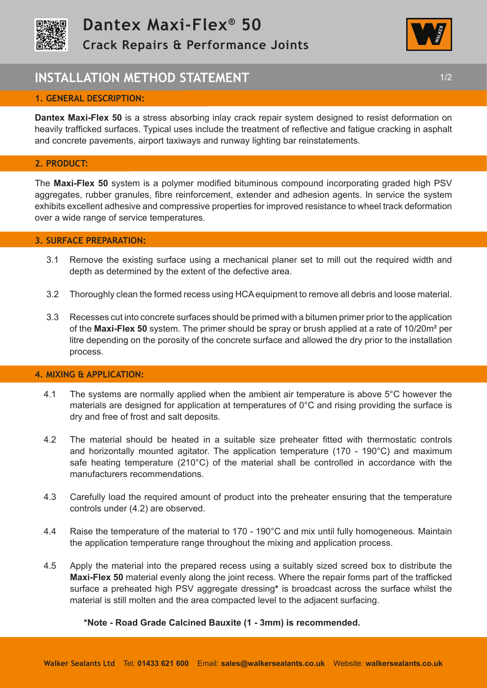



# **INSTALLATION METHOD STATEMENT 1/2 1/2**

# **1. GENERAL DESCRIPTION:**

**Dantex Maxi-Flex 50** is a stress absorbing inlay crack repair system designed to resist deformation on heavily trafficked surfaces. Typical uses include the treatment of reflective and fatigue cracking in asphalt and concrete pavements, airport taxiways and runway lighting bar reinstatements.

## **2. PRODUCT:**

The **Maxi-Flex 50** system is a polymer modified bituminous compound incorporating graded high PSV aggregates, rubber granules, fibre reinforcement, extender and adhesion agents. In service the system exhibits excellent adhesive and compressive properties for improved resistance to wheel track deformation over a wide range of service temperatures.

## **3. SURFACE PREPARATION:**

- 3.1 Remove the existing surface using a mechanical planer set to mill out the required width and depth as determined by the extent of the defective area.
- 3.2 Thoroughly clean the formed recess using HCA equipment to remove all debris and loose material.
- 3.3 Recesses cut into concrete surfaces should be primed with a bitumen primer prior to the application of the **Maxi-Flex 50** system. The primer should be spray or brush applied at a rate of 10/20m² per litre depending on the porosity of the concrete surface and allowed the dry prior to the installation process.

## **4. MIXING & APPLICATION:**

- 4.1 The systems are normally applied when the ambient air temperature is above 5°C however the materials are designed for application at temperatures of 0°C and rising providing the surface is dry and free of frost and salt deposits.
- 4.2 The material should be heated in a suitable size preheater fitted with thermostatic controls and horizontally mounted agitator. The application temperature (170 - 190°C) and maximum safe heating temperature (210°C) of the material shall be controlled in accordance with the manufacturers recommendations.
- 4.3 Carefully load the required amount of product into the preheater ensuring that the temperature controls under (4.2) are observed.
- 4.4 Raise the temperature of the material to 170 190°C and mix until fully homogeneous. Maintain the application temperature range throughout the mixing and application process.
- 4.5 Apply the material into the prepared recess using a suitably sized screed box to distribute the **Maxi-Flex 50** material evenly along the joint recess. Where the repair forms part of the trafficked surface a preheated high PSV aggregate dressing**\*** is broadcast across the surface whilst the material is still molten and the area compacted level to the adjacent surfacing.

## **\*Note - Road Grade Calcined Bauxite (1 - 3mm) is recommended.**